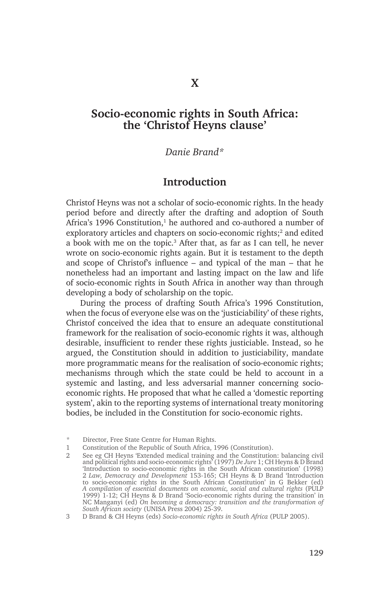## **Socio-economic rights in South Africa: the 'Christof Heyns clause'**

#### *Danie Brand\**

### **Introduction**

Christof Heyns was not a scholar of socio-economic rights. In the heady period before and directly after the drafting and adoption of South Africa's 1996 Constitution,<sup>1</sup> he authored and co-authored a number of exploratory articles and chapters on socio-economic rights;<sup>2</sup> and edited a book with me on the topic.<sup>3</sup> After that, as far as I can tell, he never wrote on socio-economic rights again. But it is testament to the depth and scope of Christof's influence – and typical of the man – that he nonetheless had an important and lasting impact on the law and life of socio-economic rights in South Africa in another way than through developing a body of scholarship on the topic.

During the process of drafting South Africa's 1996 Constitution, when the focus of everyone else was on the 'justiciability' of these rights, Christof conceived the idea that to ensure an adequate constitutional framework for the realisation of socio-economic rights it was, although desirable, insufficient to render these rights justiciable. Instead, so he argued, the Constitution should in addition to justiciability, mandate more programmatic means for the realisation of socio-economic rights; mechanisms through which the state could be held to account in a systemic and lasting, and less adversarial manner concerning socioeconomic rights. He proposed that what he called a 'domestic reporting system', akin to the reporting systems of international treaty monitoring bodies, be included in the Constitution for socio-economic rights.

<sup>\*</sup> Director, Free State Centre for Human Rights.

<sup>1</sup> Constitution of the Republic of South Africa, 1996 (Constitution).

<sup>2</sup> See eg CH Heyns 'Extended medical training and the Constitution: balancing civil and political rights and socio-economic rights' (1997) *De Jure* 1; CH Heyns & D Brand 'Introduction to socio-economic rights in the South African constitution' (1998) 2 *Law, Democracy and Development* 153-165; CH Heyns & D Brand 'Introduction to socio-economic rights in the South African Constitution' in G Bekker (ed) *A compilation of essential documents on economic, social and cultural rights* (PULP 1999) 1-12; CH Heyns & D Brand 'Socio-economic rights during the transition' in NC Manganyi (ed) *On becoming a democracy: transition and the transformation of South African society* (UNISA Press 2004) 25-39.

<sup>3</sup> D Brand & CH Heyns (eds) *Socio-economic rights in South Africa* (PULP 2005).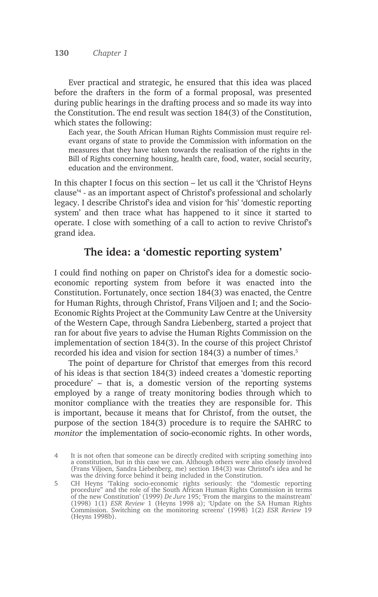Ever practical and strategic, he ensured that this idea was placed before the drafters in the form of a formal proposal, was presented during public hearings in the drafting process and so made its way into the Constitution. The end result was section 184(3) of the Constitution, which states the following:

Each year, the South African Human Rights Commission must require relevant organs of state to provide the Commission with information on the measures that they have taken towards the realisation of the rights in the Bill of Rights concerning housing, health care, food, water, social security, education and the environment.

In this chapter I focus on this section – let us call it the 'Christof Heyns clause'4 - as an important aspect of Christof's professional and scholarly legacy. I describe Christof's idea and vision for 'his' 'domestic reporting system' and then trace what has happened to it since it started to operate. I close with something of a call to action to revive Christof's grand idea.

## **The idea: a 'domestic reporting system'**

I could find nothing on paper on Christof's idea for a domestic socioeconomic reporting system from before it was enacted into the Constitution. Fortunately, once section 184(3) was enacted, the Centre for Human Rights, through Christof, Frans Viljoen and I; and the Socio-Economic Rights Project at the Community Law Centre at the University of the Western Cape, through Sandra Liebenberg, started a project that ran for about five years to advise the Human Rights Commission on the implementation of section 184(3). In the course of this project Christof recorded his idea and vision for section 184(3) a number of times.<sup>5</sup>

The point of departure for Christof that emerges from this record of his ideas is that section 184(3) indeed creates a 'domestic reporting procedure' – that is, a domestic version of the reporting systems employed by a range of treaty monitoring bodies through which to monitor compliance with the treaties they are responsible for. This is important, because it means that for Christof, from the outset, the purpose of the section 184(3) procedure is to require the SAHRC to *monitor* the implementation of socio-economic rights. In other words,

<sup>4</sup> It is not often that someone can be directly credited with scripting something into a constitution, but in this case we can. Although others were also closely involved (Frans Viljoen, Sandra Liebenberg, me) section 184(3) was Christof's idea and he was the driving force behind it being included in the Constitution.

<sup>5</sup> CH Heyns 'Taking socio-economic rights seriously: the "domestic reporting procedure" and the role of the South African Human Rights Commission in terms of the new Constitution' (1999) *De Jure* 195; 'From the margins to the mainstream' (1998) 1(1) *ESR Review* 1 (Heyns 1998 a); 'Update on the SA Human Rights Commission. Switching on the monitoring screens' (1998) 1(2) *ESR Review* 19 (Heyns 1998b).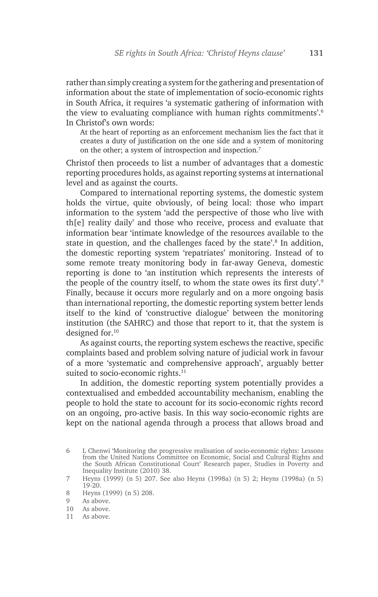rather than simply creating a system for the gathering and presentation of information about the state of implementation of socio-economic rights in South Africa, it requires 'a systematic gathering of information with the view to evaluating compliance with human rights commitments'.6 In Christof's own words:

At the heart of reporting as an enforcement mechanism lies the fact that it creates a duty of justification on the one side and a system of monitoring on the other; a system of introspection and inspection.7

Christof then proceeds to list a number of advantages that a domestic reporting procedures holds, as against reporting systems at international level and as against the courts.

Compared to international reporting systems, the domestic system holds the virtue, quite obviously, of being local: those who impart information to the system 'add the perspective of those who live with th[e] reality daily' and those who receive, process and evaluate that information bear 'intimate knowledge of the resources available to the state in question, and the challenges faced by the state'.<sup>8</sup> In addition, the domestic reporting system 'repatriates' monitoring. Instead of to some remote treaty monitoring body in far-away Geneva, domestic reporting is done to 'an institution which represents the interests of the people of the country itself, to whom the state owes its first duty'.<sup>9</sup> Finally, because it occurs more regularly and on a more ongoing basis than international reporting, the domestic reporting system better lends itself to the kind of 'constructive dialogue' between the monitoring institution (the SAHRC) and those that report to it, that the system is designed for.10

As against courts, the reporting system eschews the reactive, specific complaints based and problem solving nature of judicial work in favour of a more 'systematic and comprehensive approach', arguably better suited to socio-economic rights.<sup>11</sup>

In addition, the domestic reporting system potentially provides a contextualised and embedded accountability mechanism, enabling the people to hold the state to account for its socio-economic rights record on an ongoing, pro-active basis. In this way socio-economic rights are kept on the national agenda through a process that allows broad and

<sup>6</sup> L Chenwi 'Monitoring the progressive realisation of socio-economic rights: Lessons from the United Nations Committee on Economic, Social and Cultural Rights and the South African Constitutional Court' Research paper, Studies in Poverty and Inequality Institute (2010) 38.

<sup>7</sup> Heyns (1999) (n 5) 207. See also Heyns (1998a) (n 5) 2; Heyns (1998a) (n 5) 19-20.

<sup>8</sup> Heyns (1999) (n 5) 208.

<sup>9</sup> As above.

<sup>10</sup> As above.

<sup>11</sup> As above.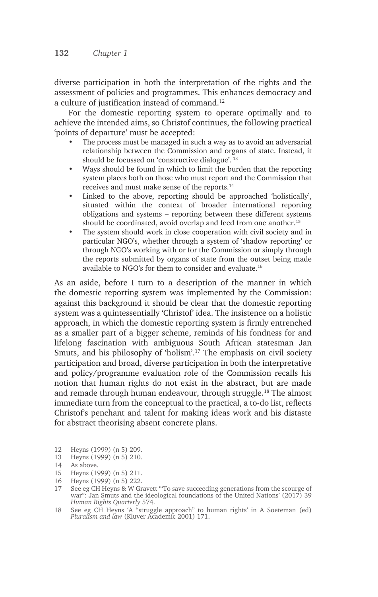diverse participation in both the interpretation of the rights and the assessment of policies and programmes. This enhances democracy and a culture of justification instead of command.<sup>12</sup>

For the domestic reporting system to operate optimally and to achieve the intended aims, so Christof continues, the following practical 'points of departure' must be accepted:

- The process must be managed in such a way as to avoid an adversarial relationship between the Commission and organs of state. Instead, it should be focussed on 'constructive dialogue'. 13
- Ways should be found in which to limit the burden that the reporting system places both on those who must report and the Commission that receives and must make sense of the reports.14
- Linked to the above, reporting should be approached 'holistically', situated within the context of broader international reporting obligations and systems – reporting between these different systems should be coordinated, avoid overlap and feed from one another.<sup>15</sup>
- The system should work in close cooperation with civil society and in particular NGO's, whether through a system of 'shadow reporting' or through NGO's working with or for the Commission or simply through the reports submitted by organs of state from the outset being made available to NGO's for them to consider and evaluate.16

As an aside, before I turn to a description of the manner in which the domestic reporting system was implemented by the Commission: against this background it should be clear that the domestic reporting system was a quintessentially 'Christof' idea. The insistence on a holistic approach, in which the domestic reporting system is firmly entrenched as a smaller part of a bigger scheme, reminds of his fondness for and lifelong fascination with ambiguous South African statesman Jan Smuts, and his philosophy of 'holism'.17 The emphasis on civil society participation and broad, diverse participation in both the interpretative and policy/programme evaluation role of the Commission recalls his notion that human rights do not exist in the abstract, but are made and remade through human endeavour, through struggle.18 The almost immediate turn from the conceptual to the practical, a to-do list, reflects Christof's penchant and talent for making ideas work and his distaste for abstract theorising absent concrete plans.

- 12 Heyns (1999) (n 5) 209.
- 13 Heyns (1999) (n 5) 210.<br>14 As above.
- 15 Heyns (1999) (n 5) 211.
- 16 Heyns (1999) (n 5) 222.
- 17 See eg CH Heyns & W Gravett '"To save succeeding generations from the scourge of war": Jan Smuts and the ideological foundations of the United Nations' (2017) 39 *Human Rights Quarterly* 574.
- 18 See eg CH Heyns 'A "struggle approach" to human rights' in A Soeteman (ed) *Pluralism and law* (Kluver Academic 2001) 171.

As above.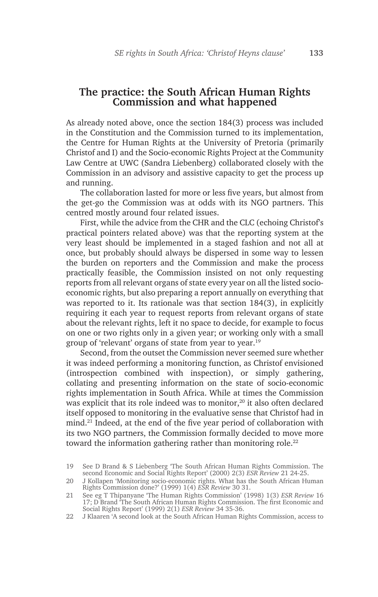# **The practice: the South African Human Rights Commission and what happened**

As already noted above, once the section 184(3) process was included in the Constitution and the Commission turned to its implementation, the Centre for Human Rights at the University of Pretoria (primarily Christof and I) and the Socio-economic Rights Project at the Community Law Centre at UWC (Sandra Liebenberg) collaborated closely with the Commission in an advisory and assistive capacity to get the process up and running.

The collaboration lasted for more or less five years, but almost from the get-go the Commission was at odds with its NGO partners. This centred mostly around four related issues.

First, while the advice from the CHR and the CLC (echoing Christof's practical pointers related above) was that the reporting system at the very least should be implemented in a staged fashion and not all at once, but probably should always be dispersed in some way to lessen the burden on reporters and the Commission and make the process practically feasible, the Commission insisted on not only requesting reports from all relevant organs of state every year on all the listed socioeconomic rights, but also preparing a report annually on everything that was reported to it. Its rationale was that section 184(3), in explicitly requiring it each year to request reports from relevant organs of state about the relevant rights, left it no space to decide, for example to focus on one or two rights only in a given year; or working only with a small group of 'relevant' organs of state from year to year.19

Second, from the outset the Commission never seemed sure whether it was indeed performing a monitoring function, as Christof envisioned (introspection combined with inspection), or simply gathering, collating and presenting information on the state of socio-economic rights implementation in South Africa. While at times the Commission was explicit that its role indeed was to monitor,<sup>20</sup> it also often declared itself opposed to monitoring in the evaluative sense that Christof had in mind.21 Indeed, at the end of the five year period of collaboration with its two NGO partners, the Commission formally decided to move more toward the information gathering rather than monitoring role.<sup>22</sup>

<sup>19</sup> See D Brand & S Liebenberg 'The South African Human Rights Commission. The second Economic and Social Rights Report' (2000) 2(3) *ESR Review* 21 24-25.

<sup>20</sup> J Kollapen 'Monitoring socio-economic rights. What has the South African Human Rights Commission done?' (1999) 1(4) *ESR Review* 30 31.

<sup>21</sup> See eg T Thipanyane 'The Human Rights Commission' (1998) 1(3) *ESR Review* 16 17; D Brand 'The South African Human Rights Commission. The first Economic and Social Rights Report' (1999) 2(1) *ESR Review* 34 35-36.

<sup>22</sup> J Klaaren 'A second look at the South African Human Rights Commission, access to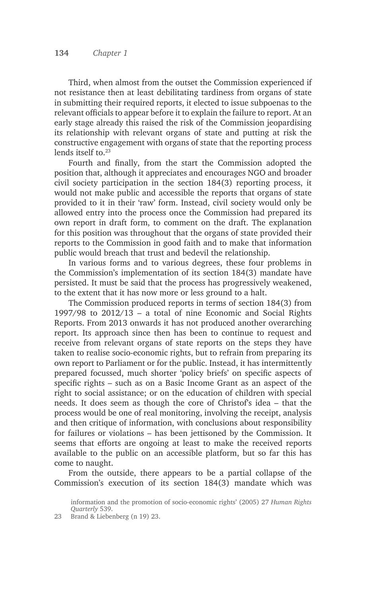Third, when almost from the outset the Commission experienced if not resistance then at least debilitating tardiness from organs of state in submitting their required reports, it elected to issue subpoenas to the relevant officials to appear before it to explain the failure to report. At an early stage already this raised the risk of the Commission jeopardising its relationship with relevant organs of state and putting at risk the constructive engagement with organs of state that the reporting process lends itself to.23

Fourth and finally, from the start the Commission adopted the position that, although it appreciates and encourages NGO and broader civil society participation in the section 184(3) reporting process, it would not make public and accessible the reports that organs of state provided to it in their 'raw' form. Instead, civil society would only be allowed entry into the process once the Commission had prepared its own report in draft form, to comment on the draft. The explanation for this position was throughout that the organs of state provided their reports to the Commission in good faith and to make that information public would breach that trust and bedevil the relationship.

In various forms and to various degrees, these four problems in the Commission's implementation of its section 184(3) mandate have persisted. It must be said that the process has progressively weakened, to the extent that it has now more or less ground to a halt.

The Commission produced reports in terms of section 184(3) from 1997/98 to 2012/13 – a total of nine Economic and Social Rights Reports. From 2013 onwards it has not produced another overarching report. Its approach since then has been to continue to request and receive from relevant organs of state reports on the steps they have taken to realise socio-economic rights, but to refrain from preparing its own report to Parliament or for the public. Instead, it has intermittently prepared focussed, much shorter 'policy briefs' on specific aspects of specific rights – such as on a Basic Income Grant as an aspect of the right to social assistance; or on the education of children with special needs. It does seem as though the core of Christof's idea – that the process would be one of real monitoring, involving the receipt, analysis and then critique of information, with conclusions about responsibility for failures or violations – has been jettisoned by the Commission. It seems that efforts are ongoing at least to make the received reports available to the public on an accessible platform, but so far this has come to naught.

From the outside, there appears to be a partial collapse of the Commission's execution of its section 184(3) mandate which was

23 Brand & Liebenberg (n 19) 23.

information and the promotion of socio-economic rights' (2005) 27 *Human Rights Quarterly* 539.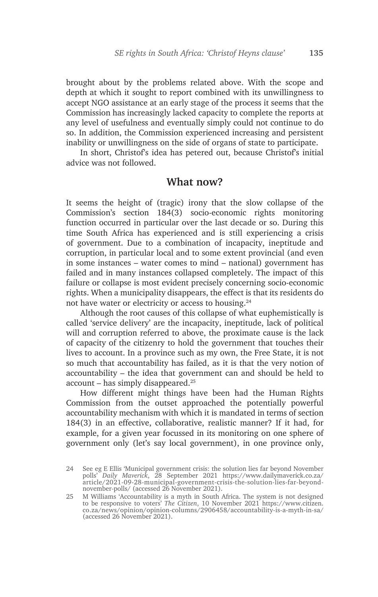brought about by the problems related above. With the scope and depth at which it sought to report combined with its unwillingness to accept NGO assistance at an early stage of the process it seems that the Commission has increasingly lacked capacity to complete the reports at any level of usefulness and eventually simply could not continue to do so. In addition, the Commission experienced increasing and persistent inability or unwillingness on the side of organs of state to participate.

In short, Christof's idea has petered out, because Christof's initial advice was not followed.

#### **What now?**

It seems the height of (tragic) irony that the slow collapse of the Commission's section 184(3) socio-economic rights monitoring function occurred in particular over the last decade or so. During this time South Africa has experienced and is still experiencing a crisis of government. Due to a combination of incapacity, ineptitude and corruption, in particular local and to some extent provincial (and even in some instances – water comes to mind – national) government has failed and in many instances collapsed completely. The impact of this failure or collapse is most evident precisely concerning socio-economic rights. When a municipality disappears, the effect is that its residents do not have water or electricity or access to housing.24

Although the root causes of this collapse of what euphemistically is called 'service delivery' are the incapacity, ineptitude, lack of political will and corruption referred to above, the proximate cause is the lack of capacity of the citizenry to hold the government that touches their lives to account. In a province such as my own, the Free State, it is not so much that accountability has failed, as it is that the very notion of accountability – the idea that government can and should be held to account – has simply disappeared.<sup>25</sup>

How different might things have been had the Human Rights Commission from the outset approached the potentially powerful accountability mechanism with which it is mandated in terms of section 184(3) in an effective, collaborative, realistic manner? If it had, for example, for a given year focussed in its monitoring on one sphere of government only (let's say local government), in one province only,

<sup>24</sup> See eg E Ellis 'Municipal government crisis: the solution lies far beyond November polls' *Daily Maverick*, 28 September 2021 https://www.dailymaverick.co.za/ article/2021-09-28-municipal-government-crisis-the-solution-lies-far-beyondnovember-polls/ (accessed 26 November 2021).

<sup>25</sup> M Williams 'Accountability is a myth in South Africa. The system is not designed to be responsive to voters' *The Citizen*, 10 November 2021 https://www.citizen. co.za/news/opinion/opinion-columns/2906458/accountability-is-a-myth-in-sa/ (accessed 26 November 2021).